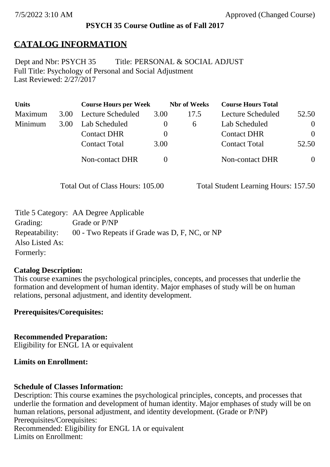#### **PSYCH 35 Course Outline as of Fall 2017**

# **CATALOG INFORMATION**

Full Title: Psychology of Personal and Social Adjustment Last Reviewed: 2/27/2017 Dept and Nbr: PSYCH 35 Title: PERSONAL & SOCIAL ADJUST

| <b>Units</b> |      | <b>Course Hours per Week</b> |          | <b>Nbr</b> of Weeks | <b>Course Hours Total</b> |          |
|--------------|------|------------------------------|----------|---------------------|---------------------------|----------|
| Maximum      | 3.00 | Lecture Scheduled            | 3.00     | 17.5                | Lecture Scheduled         | 52.50    |
| Minimum      | 3.00 | Lab Scheduled                |          | $\sigma$            | Lab Scheduled             | $\theta$ |
|              |      | <b>Contact DHR</b>           | $\theta$ |                     | <b>Contact DHR</b>        | $\Omega$ |
|              |      | <b>Contact Total</b>         | 3.00     |                     | <b>Contact Total</b>      | 52.50    |
|              |      | Non-contact DHR              |          |                     | <b>Non-contact DHR</b>    | $\theta$ |

Total Out of Class Hours: 105.00 Total Student Learning Hours: 157.50

|                 | Title 5 Category: AA Degree Applicable        |
|-----------------|-----------------------------------------------|
| Grading:        | Grade or P/NP                                 |
| Repeatability:  | 00 - Two Repeats if Grade was D, F, NC, or NP |
| Also Listed As: |                                               |
| Formerly:       |                                               |

#### **Catalog Description:**

This course examines the psychological principles, concepts, and processes that underlie the formation and development of human identity. Major emphases of study will be on human relations, personal adjustment, and identity development.

**Prerequisites/Corequisites:**

**Recommended Preparation:** Eligibility for ENGL 1A or equivalent

#### **Limits on Enrollment:**

#### **Schedule of Classes Information:**

Description: This course examines the psychological principles, concepts, and processes that underlie the formation and development of human identity. Major emphases of study will be on human relations, personal adjustment, and identity development. (Grade or P/NP) Prerequisites/Corequisites: Recommended: Eligibility for ENGL 1A or equivalent Limits on Enrollment: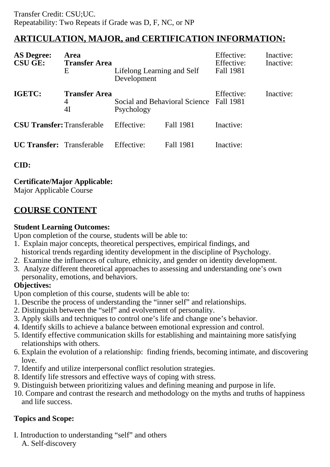# **ARTICULATION, MAJOR, and CERTIFICATION INFORMATION:**

| <b>AS Degree:</b><br><b>CSU GE:</b>                    | Area<br><b>Transfer Area</b><br>E | Lifelong Learning and Self<br>Development             |                  | Effective:<br>Effective:<br>Fall 1981 | Inactive:<br>Inactive: |
|--------------------------------------------------------|-----------------------------------|-------------------------------------------------------|------------------|---------------------------------------|------------------------|
| IGETC:<br><b>Transfer Area</b><br>$\overline{4}$<br>4I |                                   | Social and Behavioral Science Fall 1981<br>Psychology |                  | Effective:                            | Inactive:              |
| <b>CSU Transfer: Transferable</b>                      |                                   | Effective:                                            | <b>Fall 1981</b> | Inactive:                             |                        |
| <b>UC Transfer:</b> Transferable                       |                                   | Effective:                                            | <b>Fall 1981</b> | Inactive:                             |                        |

**CID:**

# **Certificate/Major Applicable:**

[Major Applicable Course](SR_ClassCheck.aspx?CourseKey=PSYCH35)

# **COURSE CONTENT**

### **Student Learning Outcomes:**

Upon completion of the course, students will be able to:

- 1. Explain major concepts, theoretical perspectives, empirical findings, and historical trends regarding identity development in the discipline of Psychology.
- 2. Examine the influences of culture, ethnicity, and gender on identity development.
- 3. Analyze different theoretical approaches to assessing and understanding one's own personality, emotions, and behaviors.

# **Objectives:**

Upon completion of this course, students will be able to:

- 1. Describe the process of understanding the "inner self" and relationships.
- 2. Distinguish between the "self" and evolvement of personality.
- 3. Apply skills and techniques to control one's life and change one's behavior.
- 4. Identify skills to achieve a balance between emotional expression and control.
- 5. Identify effective communication skills for establishing and maintaining more satisfying relationships with others.
- 6. Explain the evolution of a relationship: finding friends, becoming intimate, and discovering love.
- 7. Identify and utilize interpersonal conflict resolution strategies.
- 8. Identify life stressors and effective ways of coping with stress.
- 9. Distinguish between prioritizing values and defining meaning and purpose in life.
- 10. Compare and contrast the research and methodology on the myths and truths of happiness and life success.

# **Topics and Scope:**

I. Introduction to understanding "self" and others

A. Self-discovery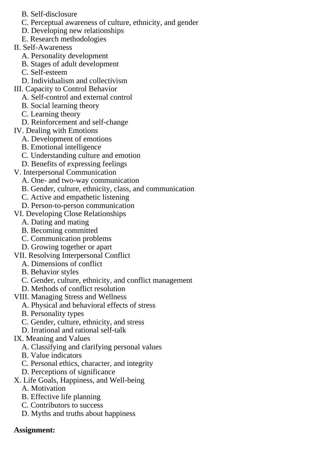- B. Self-disclosure
- C. Perceptual awareness of culture, ethnicity, and gender
- D. Developing new relationships
- E. Research methodologies
- II. Self-Awareness
	- A. Personality development
	- B. Stages of adult development
	- C. Self-esteem
	- D. Individualism and collectivism
- III. Capacity to Control Behavior
	- A. Self-control and external control
	- B. Social learning theory
	- C. Learning theory
	- D. Reinforcement and self-change
- IV. Dealing with Emotions
	- A. Development of emotions
	- B. Emotional intelligence
	- C. Understanding culture and emotion
	- D. Benefits of expressing feelings
- V. Interpersonal Communication
	- A. One- and two-way communication
	- B. Gender, culture, ethnicity, class, and communication
	- C. Active and empathetic listening
	- D. Person-to-person communication
- VI. Developing Close Relationships
	- A. Dating and mating
	- B. Becoming committed
	- C. Communication problems
	- D. Growing together or apart
- VII. Resolving Interpersonal Conflict
	- A. Dimensions of conflict
	- B. Behavior styles
	- C. Gender, culture, ethnicity, and conflict management
	- D. Methods of conflict resolution
- VIII. Managing Stress and Wellness
	- A. Physical and behavioral effects of stress
	- B. Personality types
	- C. Gender, culture, ethnicity, and stress
	- D. Irrational and rational self-talk

# IX. Meaning and Values

- A. Classifying and clarifying personal values
- B. Value indicators
- C. Personal ethics, character, and integrity
- D. Perceptions of significance
- X. Life Goals, Happiness, and Well-being
	- A. Motivation
	- B. Effective life planning
	- C. Contributors to success
	- D. Myths and truths about happiness

# **Assignment:**